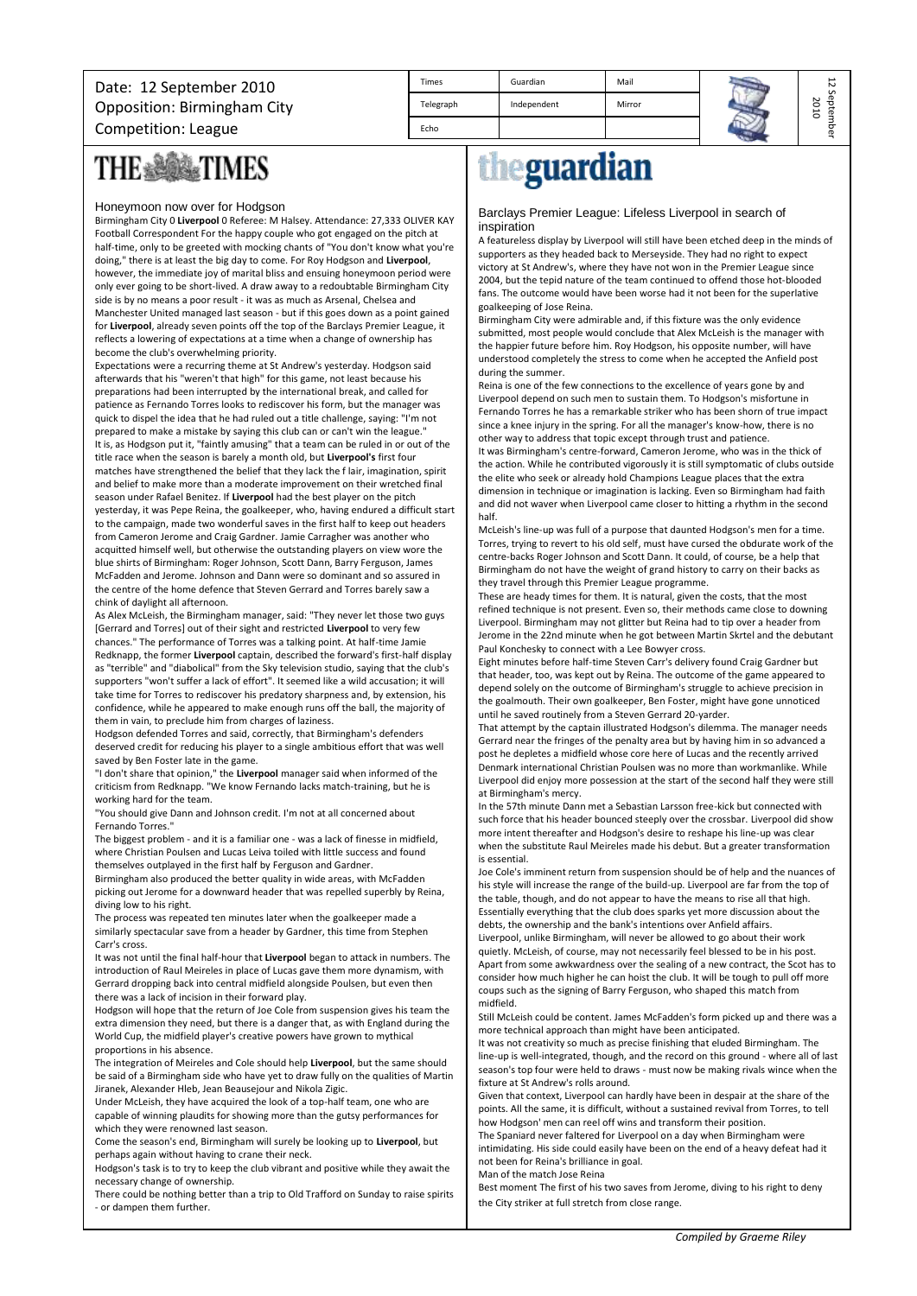| Times     | Guardian    | Mail   |
|-----------|-------------|--------|
| Telegraph | Independent | Mirror |
| Echo      |             |        |



# **THE SOLAR TIMES**

#### Honeymoon now over for Hodgson

Birmingham City 0 **Liverpool** 0 Referee: M Halsey. Attendance: 27,333 OLIVER KAY Football Correspondent For the happy couple who got engaged on the pitch at half-time, only to be greeted with mocking chants of "You don't know what you're doing," there is at least the big day to come. For Roy Hodgson and **Liverpool**, however, the immediate joy of marital bliss and ensuing honeymoon period were only ever going to be short-lived. A draw away to a redoubtable Birmingham City side is by no means a poor result - it was as much as Arsenal, Chelsea and Manchester United managed last season - but if this goes down as a point gained for **Liverpool**, already seven points off the top of the Barclays Premier League, it reflects a lowering of expectations at a time when a change of ownership has become the club's overwhelming priority.

Expectations were a recurring theme at St Andrew's yesterday. Hodgson said afterwards that his "weren't that high" for this game, not least because his preparations had been interrupted by the international break, and called for patience as Fernando Torres looks to rediscover his form, but the manager was quick to dispel the idea that he had ruled out a title challenge, saying: "I'm not prepared to make a mistake by saying this club can or can't win the league. It is, as Hodgson put it, "faintly amusing" that a team can be ruled in or out of the title race when the season is barely a month old, but **Liverpool's** first four matches have strengthened the belief that they lack the f lair, imagination, spirit and belief to make more than a moderate improvement on their wretched final season under Rafael Benitez. If **Liverpool** had the best player on the pitch yesterday, it was Pepe Reina, the goalkeeper, who, having endured a difficult start to the campaign, made two wonderful saves in the first half to keep out headers from Cameron Jerome and Craig Gardner. Jamie Carragher was another who acquitted himself well, but otherwise the outstanding players on view wore the blue shirts of Birmingham: Roger Johnson, Scott Dann, Barry Ferguson, James McFadden and Jerome. Johnson and Dann were so dominant and so assured in the centre of the home defence that Steven Gerrard and Torres barely saw a chink of daylight all afternoon.

As Alex McLeish, the Birmingham manager, said: "They never let those two guys [Gerrard and Torres] out of their sight and restricted **Liverpool** to very few chances." The performance of Torres was a talking point. At half-time Jamie Redknapp, the former **Liverpool** captain, described the forward's first-half display as "terrible" and "diabolical" from the Sky television studio, saying that the club's supporters "won't suffer a lack of effort". It seemed like a wild accusation; it will take time for Torres to rediscover his predatory sharpness and, by extension, his confidence, while he appeared to make enough runs off the ball, the majority of them in vain, to preclude him from charges of laziness.

Hodgson defended Torres and said, correctly, that Birmingham's defenders deserved credit for reducing his player to a single ambitious effort that was well saved by Ben Foster late in the game.

"I don't share that opinion," the **Liverpool** manager said when informed of the criticism from Redknapp. "We know Fernando lacks match-training, but he is working hard for the team.

"You should give Dann and Johnson credit. I'm not at all concerned about Fernando Torres."

The biggest problem - and it is a familiar one - was a lack of finesse in midfield, where Christian Poulsen and Lucas Leiva toiled with little success and found themselves outplayed in the first half by Ferguson and Gardner.

Birmingham also produced the better quality in wide areas, with McFadden picking out Jerome for a downward header that was repelled superbly by Reina, diving low to his right.

The process was repeated ten minutes later when the goalkeeper made a similarly spectacular save from a header by Gardner, this time from Stephen Carr's cross.

It was not until the final half-hour that **Liverpool** began to attack in numbers. The introduction of Raul Meireles in place of Lucas gave them more dynamism, with Gerrard dropping back into central midfield alongside Poulsen, but even then there was a lack of incision in their forward play.

Hodgson will hope that the return of Joe Cole from suspension gives his team the extra dimension they need, but there is a danger that, as with England during the World Cup, the midfield player's creative powers have grown to mythical proportions in his absence.

The integration of Meireles and Cole should help **Liverpool**, but the same should be said of a Birmingham side who have yet to draw fully on the qualities of Martin Jiranek, Alexander Hleb, Jean Beausejour and Nikola Zigic.

Under McLeish, they have acquired the look of a top-half team, one who are capable of winning plaudits for showing more than the gutsy performances for

which they were renowned last season.

Come the season's end, Birmingham will surely be looking up to **Liverpool**, but perhaps again without having to crane their neck.

Hodgson's task is to try to keep the club vibrant and positive while they await the necessary change of ownership.

There could be nothing better than a trip to Old Trafford on Sunday to raise spirits - or dampen them further.

# theguardian

Barclays Premier League: Lifeless Liverpool in search of inspiration

A featureless display by Liverpool will still have been etched deep in the minds of supporters as they headed back to Merseyside. They had no right to expect victory at St Andrew's, where they have not won in the Premier League since 2004, but the tepid nature of the team continued to offend those hot-blooded fans. The outcome would have been worse had it not been for the superlative goalkeeping of Jose Reina.

Birmingham City were admirable and, if this fixture was the only evidence submitted, most people would conclude that Alex McLeish is the manager with the happier future before him. Roy Hodgson, his opposite number, will have understood completely the stress to come when he accepted the Anfield post during the summer.

Reina is one of the few connections to the excellence of years gone by and Liverpool depend on such men to sustain them. To Hodgson's misfortune in Fernando Torres he has a remarkable striker who has been shorn of true impact since a knee injury in the spring. For all the manager's know-how, there is no other way to address that topic except through trust and patience.

It was Birmingham's centre-forward, Cameron Jerome, who was in the thick of the action. While he contributed vigorously it is still symptomatic of clubs outside the elite who seek or already hold Champions League places that the extra dimension in technique or imagination is lacking. Even so Birmingham had faith and did not waver when Liverpool came closer to hitting a rhythm in the second half.

McLeish's line-up was full of a purpose that daunted Hodgson's men for a time. Torres, trying to revert to his old self, must have cursed the obdurate work of the centre-backs Roger Johnson and Scott Dann. It could, of course, be a help that Birmingham do not have the weight of grand history to carry on their backs as they travel through this Premier League programme.

These are heady times for them. It is natural, given the costs, that the most refined technique is not present. Even so, their methods came close to downing Liverpool. Birmingham may not glitter but Reina had to tip over a header from Jerome in the 22nd minute when he got between Martin Skrtel and the debutant Paul Konchesky to connect with a Lee Bowyer cross.

Eight minutes before half-time Steven Carr's delivery found Craig Gardner but that header, too, was kept out by Reina. The outcome of the game appeared to depend solely on the outcome of Birmingham's struggle to achieve precision in the goalmouth. Their own goalkeeper, Ben Foster, might have gone unnoticed until he saved routinely from a Steven Gerrard 20-yarder.

That attempt by the captain illustrated Hodgson's dilemma. The manager needs Gerrard near the fringes of the penalty area but by having him in so advanced a post he depletes a midfield whose core here of Lucas and the recently arrived Denmark international Christian Poulsen was no more than workmanlike. While Liverpool did enjoy more possession at the start of the second half they were still at Birmingham's mercy.

In the 57th minute Dann met a Sebastian Larsson free-kick but connected with such force that his header bounced steeply over the crossbar. Liverpool did show more intent thereafter and Hodgson's desire to reshape his line-up was clear when the substitute Raul Meireles made his debut. But a greater transformation is essential.

Joe Cole's imminent return from suspension should be of help and the nuances of his style will increase the range of the build-up. Liverpool are far from the top of the table, though, and do not appear to have the means to rise all that high. Essentially everything that the club does sparks yet more discussion about the debts, the ownership and the bank's intentions over Anfield affairs.

Liverpool, unlike Birmingham, will never be allowed to go about their work quietly. McLeish, of course, may not necessarily feel blessed to be in his post. Apart from some awkwardness over the sealing of a new contract, the Scot has to consider how much higher he can hoist the club. It will be tough to pull off more coups such as the signing of Barry Ferguson, who shaped this match from midfield.

Still McLeish could be content. James McFadden's form picked up and there was a more technical approach than might have been anticipated.

It was not creativity so much as precise finishing that eluded Birmingham. The line-up is well-integrated, though, and the record on this ground - where all of last season's top four were held to draws - must now be making rivals wince when the fixture at St Andrew's rolls around.

Given that context, Liverpool can hardly have been in despair at the share of the points. All the same, it is difficult, without a sustained revival from Torres, to tell how Hodgson' men can reel off wins and transform their position.

The Spaniard never faltered for Liverpool on a day when Birmingham were intimidating. His side could easily have been on the end of a heavy defeat had it not been for Reina's brilliance in goal.

Man of the match Jose Reina

Best moment The first of his two saves from Jerome, diving to his right to deny the City striker at full stretch from close range.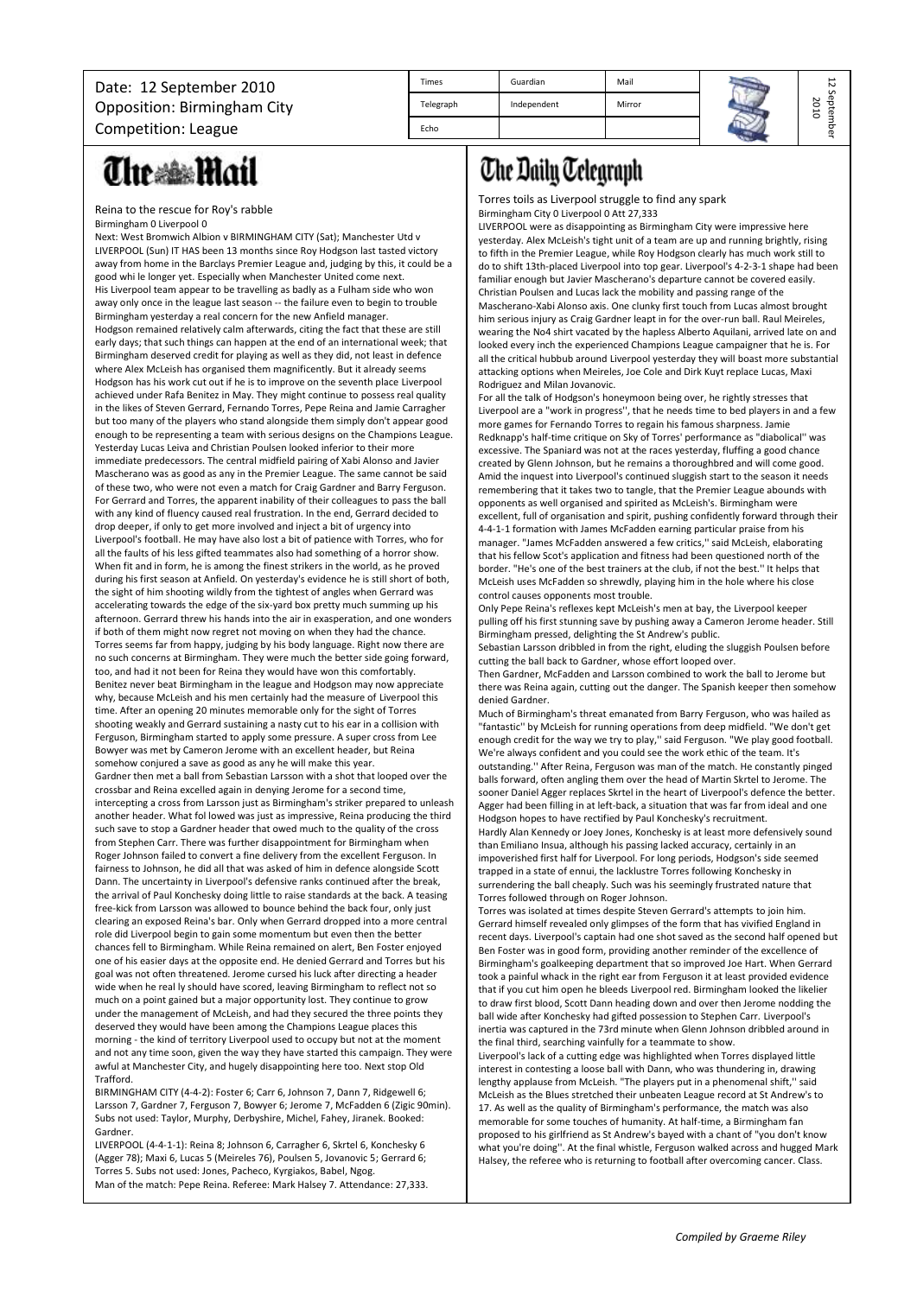| Date: 12 September 2010            | Times     | Guardian    | Mail   |             |
|------------------------------------|-----------|-------------|--------|-------------|
| <b>Opposition: Birmingham City</b> | Telegraph | Independent | Mirror | $\sim$<br>요 |
| Competition: League                | Echo      |             |        |             |

## The sale Mail

Reina to the rescue for Roy's rabble

Birmingham 0 Liverpool 0

Next: West Bromwich Albion v BIRMINGHAM CITY (Sat); Manchester Utd v LIVERPOOL (Sun) IT HAS been 13 months since Roy Hodgson last tasted victory away from home in the Barclays Premier League and, judging by this, it could be a good whi le longer yet. Especially when Manchester United come next. His Liverpool team appear to be travelling as badly as a Fulham side who won away only once in the league last season -- the failure even to begin to trouble Birmingham yesterday a real concern for the new Anfield manager. Hodgson remained relatively calm afterwards, citing the fact that these are still early days; that such things can happen at the end of an international week; that Birmingham deserved credit for playing as well as they did, not least in defence where Alex McLeish has organised them magnificently. But it already seems Hodgson has his work cut out if he is to improve on the seventh place Liverpool achieved under Rafa Benitez in May. They might continue to possess real quality in the likes of Steven Gerrard, Fernando Torres, Pepe Reina and Jamie Carragher but too many of the players who stand alongside them simply don't appear good enough to be representing a team with serious designs on the Champions League. Yesterday Lucas Leiva and Christian Poulsen looked inferior to their more immediate predecessors. The central midfield pairing of Xabi Alonso and Javier Mascherano was as good as any in the Premier League. The same cannot be said of these two, who were not even a match for Craig Gardner and Barry Ferguson. For Gerrard and Torres, the apparent inability of their colleagues to pass the ball with any kind of fluency caused real frustration. In the end, Gerrard decided to drop deeper, if only to get more involved and inject a bit of urgency into Liverpool's football. He may have also lost a bit of patience with Torres, who for all the faults of his less gifted teammates also had something of a horror show. When fit and in form, he is among the finest strikers in the world, as he proved during his first season at Anfield. On yesterday's evidence he is still short of both, the sight of him shooting wildly from the tightest of angles when Gerrard was accelerating towards the edge of the six-yard box pretty much summing up his afternoon. Gerrard threw his hands into the air in exasperation, and one wonders if both of them might now regret not moving on when they had the chance. Torres seems far from happy, judging by his body language. Right now there are no such concerns at Birmingham. They were much the better side going forward, too, and had it not been for Reina they would have won this comfortably. Benitez never beat Birmingham in the league and Hodgson may now appreciate why, because McLeish and his men certainly had the measure of Liverpool this time. After an opening 20 minutes memorable only for the sight of Torres shooting weakly and Gerrard sustaining a nasty cut to his ear in a collision with Ferguson, Birmingham started to apply some pressure. A super cross from Lee Bowyer was met by Cameron Jerome with an excellent header, but Reina somehow conjured a save as good as any he will make this year. Gardner then met a ball from Sebastian Larsson with a shot that looped over the crossbar and Reina excelled again in denying Jerome for a second time, intercepting a cross from Larsson just as Birmingham's striker prepared to unleash another header. What fol lowed was just as impressive, Reina producing the third such save to stop a Gardner header that owed much to the quality of the cross from Stephen Carr. There was further disappointment for Birmingham when Roger Johnson failed to convert a fine delivery from the excellent Ferguson. In fairness to Johnson, he did all that was asked of him in defence alongside Scott Dann. The uncertainty in Liverpool's defensive ranks continued after the break, the arrival of Paul Konchesky doing little to raise standards at the back. A teasing free-kick from Larsson was allowed to bounce behind the back four, only just clearing an exposed Reina's bar. Only when Gerrard dropped into a more central role did Liverpool begin to gain some momentum but even then the better chances fell to Birmingham. While Reina remained on alert, Ben Foster enjoyed one of his easier days at the opposite end. He denied Gerrard and Torres but his goal was not often threatened. Jerome cursed his luck after directing a header wide when he real ly should have scored, leaving Birmingham to reflect not so much on a point gained but a major opportunity lost. They continue to grow under the management of McLeish, and had they secured the three points they deserved they would have been among the Champions League places this morning - the kind of territory Liverpool used to occupy but not at the moment and not any time soon, given the way they have started this campaign. They were awful at Manchester City, and hugely disappointing here too. Next stop Old Trafford.

BIRMINGHAM CITY (4-4-2): Foster 6; Carr 6, Johnson 7, Dann 7, Ridgewell 6; Larsson 7, Gardner 7, Ferguson 7, Bowyer 6; Jerome 7, McFadden 6 (Zigic 90min). Subs not used: Taylor, Murphy, Derbyshire, Michel, Fahey, Jiranek. Booked: Gardner.

LIVERPOOL (4-4-1-1): Reina 8; Johnson 6, Carragher 6, Skrtel 6, Konchesky 6 (Agger 78); Maxi 6, Lucas 5 (Meireles 76), Poulsen 5, Jovanovic 5; Gerrard 6; Torres 5. Subs not used: Jones, Pacheco, Kyrgiakos, Babel, Ngog. Man of the match: Pepe Reina. Referee: Mark Halsey 7. Attendance: 27,333.

### **The Daily Telegraph**

Torres toils as Liverpool struggle to find any spark Birmingham City 0 Liverpool 0 Att 27,333

LIVERPOOL were as disappointing as Birmingham City were impressive here yesterday. Alex McLeish's tight unit of a team are up and running brightly, rising to fifth in the Premier League, while Roy Hodgson clearly has much work still to do to shift 13th-placed Liverpool into top gear. Liverpool's 4-2-3-1 shape had been familiar enough but Javier Mascherano's departure cannot be covered easily. Christian Poulsen and Lucas lack the mobility and passing range of the Mascherano-Xabi Alonso axis. One clunky first touch from Lucas almost brought him serious injury as Craig Gardner leapt in for the over-run ball. Raul Meireles, wearing the No4 shirt vacated by the hapless Alberto Aquilani, arrived late on and looked every inch the experienced Champions League campaigner that he is. For all the critical hubbub around Liverpool yesterday they will boast more substantial attacking options when Meireles, Joe Cole and Dirk Kuyt replace Lucas, Maxi Rodriguez and Milan Jovanovic.

For all the talk of Hodgson's honeymoon being over, he rightly stresses that Liverpool are a "work in progress'', that he needs time to bed players in and a few more games for Fernando Torres to regain his famous sharpness. Jamie Redknapp's half-time critique on Sky of Torres' performance as "diabolical'' was excessive. The Spaniard was not at the races yesterday, fluffing a good chance created by Glenn Johnson, but he remains a thoroughbred and will come good. Amid the inquest into Liverpool's continued sluggish start to the season it needs remembering that it takes two to tangle, that the Premier League abounds with opponents as well organised and spirited as McLeish's. Birmingham were excellent, full of organisation and spirit, pushing confidently forward through their

4-4-1-1 formation with James McFadden earning particular praise from his manager. "James McFadden answered a few critics,'' said McLeish, elaborating that his fellow Scot's application and fitness had been questioned north of the border. "He's one of the best trainers at the club, if not the best.'' It helps that McLeish uses McFadden so shrewdly, playing him in the hole where his close control causes opponents most trouble.

Only Pepe Reina's reflexes kept McLeish's men at bay, the Liverpool keeper pulling off his first stunning save by pushing away a Cameron Jerome header. Still Birmingham pressed, delighting the St Andrew's public.

Sebastian Larsson dribbled in from the right, eluding the sluggish Poulsen before cutting the ball back to Gardner, whose effort looped over.

Then Gardner, McFadden and Larsson combined to work the ball to Jerome but there was Reina again, cutting out the danger. The Spanish keeper then somehow denied Gardner.

Much of Birmingham's threat emanated from Barry Ferguson, who was hailed as "fantastic'' by McLeish for running operations from deep midfield. "We don't get enough credit for the way we try to play,'' said Ferguson. "We play good football. We're always confident and you could see the work ethic of the team. It's outstanding.'' After Reina, Ferguson was man of the match. He constantly pinged balls forward, often angling them over the head of Martin Skrtel to Jerome. The sooner Daniel Agger replaces Skrtel in the heart of Liverpool's defence the better. Agger had been filling in at left-back, a situation that was far from ideal and one Hodgson hopes to have rectified by Paul Konchesky's recruitment.

Hardly Alan Kennedy or Joey Jones, Konchesky is at least more defensively sound than Emiliano Insua, although his passing lacked accuracy, certainly in an impoverished first half for Liverpool. For long periods, Hodgson's side seemed trapped in a state of ennui, the lacklustre Torres following Konchesky in surrendering the ball cheaply. Such was his seemingly frustrated nature that Torres followed through on Roger Johnson.

Torres was isolated at times despite Steven Gerrard's attempts to join him. Gerrard himself revealed only glimpses of the form that has vivified England in recent days. Liverpool's captain had one shot saved as the second half opened but Ben Foster was in good form, providing another reminder of the excellence of Birmingham's goalkeeping department that so improved Joe Hart. When Gerrard took a painful whack in the right ear from Ferguson it at least provided evidence that if you cut him open he bleeds Liverpool red. Birmingham looked the likelier to draw first blood, Scott Dann heading down and over then Jerome nodding the ball wide after Konchesky had gifted possession to Stephen Carr. Liverpool's inertia was captured in the 73rd minute when Glenn Johnson dribbled around in the final third, searching vainfully for a teammate to show.

Liverpool's lack of a cutting edge was highlighted when Torres displayed little interest in contesting a loose ball with Dann, who was thundering in, drawing lengthy applause from McLeish. "The players put in a phenomenal shift,'' said McLeish as the Blues stretched their unbeaten League record at St Andrew's to 17. As well as the quality of Birmingham's performance, the match was also memorable for some touches of humanity. At half-time, a Birmingham fan proposed to his girlfriend as St Andrew's bayed with a chant of "you don't know what you're doing''. At the final whistle, Ferguson walked across and hugged Mark Halsey, the referee who is returning to football after overcoming cancer. Class.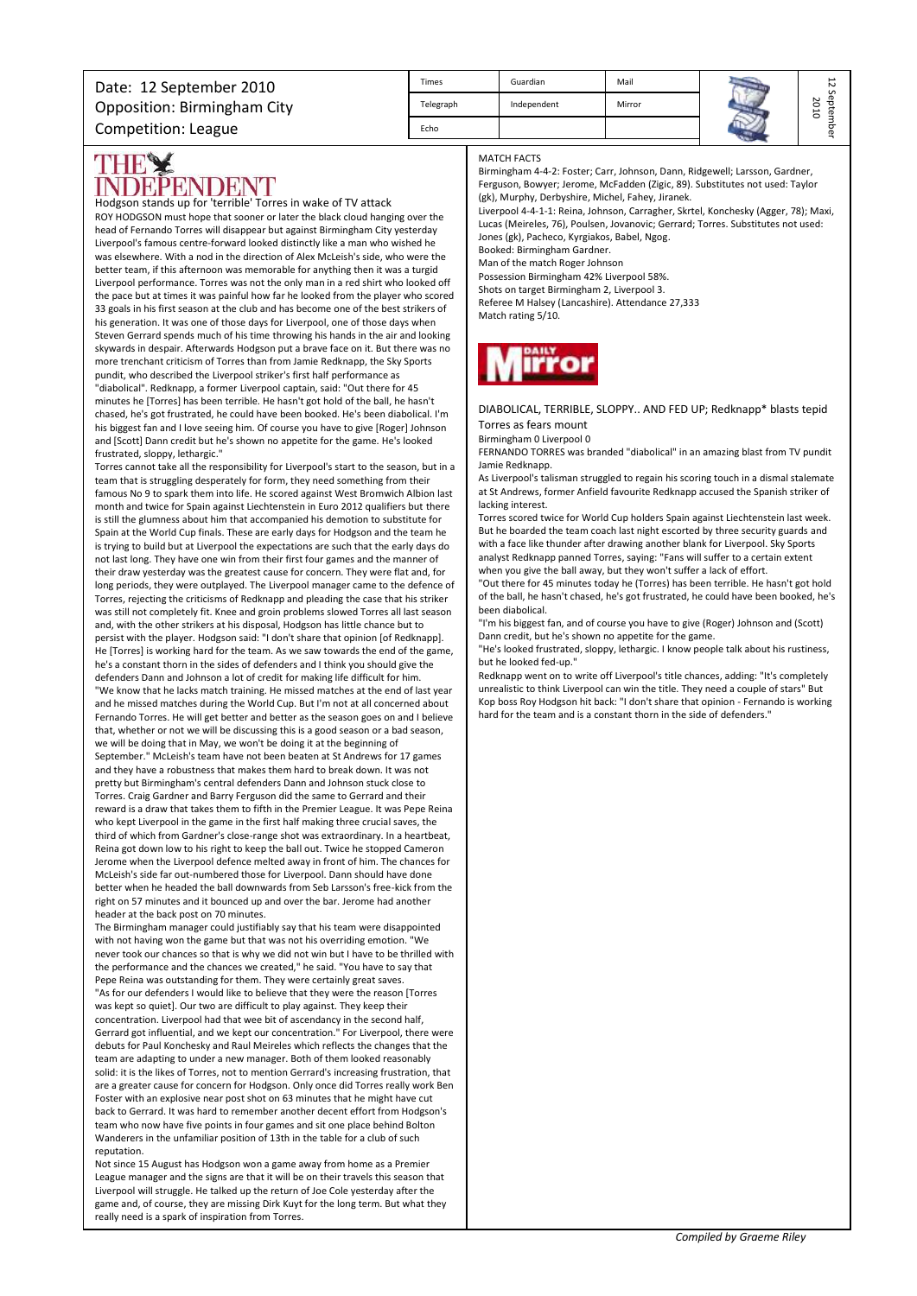| Date: 12 September 2010            |
|------------------------------------|
| <b>Opposition: Birmingham City</b> |
| <b>Competition: League</b>         |

| Times     | Guardian    | Mail   | . .<br>N |
|-----------|-------------|--------|----------|
| Telegraph | Independent | Mirror | N<br>⊂   |
| Echo      |             |        | œ        |

### **THEX** EPENDENT

Hodgson stands up for 'terrible' Torres in wake of TV attack ROY HODGSON must hope that sooner or later the black cloud hanging over the head of Fernando Torres will disappear but against Birmingham City yesterday Liverpool's famous centre-forward looked distinctly like a man who wished he was elsewhere. With a nod in the direction of Alex McLeish's side, who were the better team, if this afternoon was memorable for anything then it was a turgid Liverpool performance. Torres was not the only man in a red shirt who looked off the pace but at times it was painful how far he looked from the player who scored 33 goals in his first season at the club and has become one of the best strikers of his generation. It was one of those days for Liverpool, one of those days when Steven Gerrard spends much of his time throwing his hands in the air and looking skywards in despair. Afterwards Hodgson put a brave face on it. But there was no more trenchant criticism of Torres than from Jamie Redknapp, the Sky Sports pundit, who described the Liverpool striker's first half performance as "diabolical". Redknapp, a former Liverpool captain, said: "Out there for 45 minutes he [Torres] has been terrible. He hasn't got hold of the ball, he hasn't chased, he's got frustrated, he could have been booked. He's been diabolical. I'm

his biggest fan and I love seeing him. Of course you have to give [Roger] Johnson and [Scott] Dann credit but he's shown no appetite for the game. He's looked frustrated, sloppy, lethargic."

Torres cannot take all the responsibility for Liverpool's start to the season, but in a team that is struggling desperately for form, they need something from their famous No 9 to spark them into life. He scored against West Bromwich Albion last month and twice for Spain against Liechtenstein in Euro 2012 qualifiers but there is still the glumness about him that accompanied his demotion to substitute for Spain at the World Cup finals. These are early days for Hodgson and the team he is trying to build but at Liverpool the expectations are such that the early days do not last long. They have one win from their first four games and the manner of their draw yesterday was the greatest cause for concern. They were flat and, for long periods, they were outplayed. The Liverpool manager came to the defence of Torres, rejecting the criticisms of Redknapp and pleading the case that his striker was still not completely fit. Knee and groin problems slowed Torres all last season and, with the other strikers at his disposal, Hodgson has little chance but to persist with the player. Hodgson said: "I don't share that opinion [of Redknapp]. He [Torres] is working hard for the team. As we saw towards the end of the game, he's a constant thorn in the sides of defenders and I think you should give the defenders Dann and Johnson a lot of credit for making life difficult for him. "We know that he lacks match training. He missed matches at the end of last year and he missed matches during the World Cup. But I'm not at all concerned about Fernando Torres. He will get better and better as the season goes on and I believe that, whether or not we will be discussing this is a good season or a bad season, we will be doing that in May, we won't be doing it at the beginning of September." McLeish's team have not been beaten at St Andrews for 17 games and they have a robustness that makes them hard to break down. It was not pretty but Birmingham's central defenders Dann and Johnson stuck close to Torres. Craig Gardner and Barry Ferguson did the same to Gerrard and their reward is a draw that takes them to fifth in the Premier League. It was Pepe Reina who kept Liverpool in the game in the first half making three crucial saves, the third of which from Gardner's close-range shot was extraordinary. In a heartbeat, Reina got down low to his right to keep the ball out. Twice he stopped Cameron Jerome when the Liverpool defence melted away in front of him. The chances for McLeish's side far out-numbered those for Liverpool. Dann should have done better when he headed the ball downwards from Seb Larsson's free-kick from the right on 57 minutes and it bounced up and over the bar. Jerome had another header at the back post on 70 minutes.

The Birmingham manager could justifiably say that his team were disappointed with not having won the game but that was not his overriding emotion. "We never took our chances so that is why we did not win but I have to be thrilled with the performance and the chances we created," he said. "You have to say that Pepe Reina was outstanding for them. They were certainly great saves.

"As for our defenders I would like to believe that they were the reason [Torres was kept so quiet]. Our two are difficult to play against. They keep their concentration. Liverpool had that wee bit of ascendancy in the second half, Gerrard got influential, and we kept our concentration." For Liverpool, there were debuts for Paul Konchesky and Raul Meireles which reflects the changes that the team are adapting to under a new manager. Both of them looked reasonably solid: it is the likes of Torres, not to mention Gerrard's increasing frustration, that are a greater cause for concern for Hodgson. Only once did Torres really work Ben Foster with an explosive near post shot on 63 minutes that he might have cut back to Gerrard. It was hard to remember another decent effort from Hodgson's team who now have five points in four games and sit one place behind Bolton Wanderers in the unfamiliar position of 13th in the table for a club of such reputation.

Not since 15 August has Hodgson won a game away from home as a Premier League manager and the signs are that it will be on their travels this season that Liverpool will struggle. He talked up the return of Joe Cole yesterday after the game and, of course, they are missing Dirk Kuyt for the long term. But what they really need is a spark of inspiration from Torres.

#### MATCH FACTS

Birmingham 4-4-2: Foster; Carr, Johnson, Dann, Ridgewell; Larsson, Gardner, Ferguson, Bowyer; Jerome, McFadden (Zigic, 89). Substitutes not used: Taylor (gk), Murphy, Derbyshire, Michel, Fahey, Jiranek.

Liverpool 4-4-1-1: Reina, Johnson, Carragher, Skrtel, Konchesky (Agger, 78); Maxi, Lucas (Meireles, 76), Poulsen, Jovanovic; Gerrard; Torres. Substitutes not used: Jones (gk), Pacheco, Kyrgiakos, Babel, Ngog. Booked: Birmingham Gardner.

Man of the match Roger Johnson

Possession Birmingham 42% Liverpool 58%.

Shots on target Birmingham 2, Liverpool 3.

Referee M Halsey (Lancashire). Attendance 27,333 Match rating 5/10.



| DIABOLICAL, TERRIBLE, SLOPPY AND FED UP; Redknapp* blasts tepid |  |  |  |  |
|-----------------------------------------------------------------|--|--|--|--|
| Torres as fears mount                                           |  |  |  |  |

Birmingham 0 Liverpool 0

FERNANDO TORRES was branded "diabolical" in an amazing blast from TV pundit Jamie Redknapp.

As Liverpool's talisman struggled to regain his scoring touch in a dismal stalemate at St Andrews, former Anfield favourite Redknapp accused the Spanish striker of lacking interest.

Torres scored twice for World Cup holders Spain against Liechtenstein last week. But he boarded the team coach last night escorted by three security guards and with a face like thunder after drawing another blank for Liverpool. Sky Sports analyst Redknapp panned Torres, saying: "Fans will suffer to a certain extent when you give the ball away, but they won't suffer a lack of effort.

"Out there for 45 minutes today he (Torres) has been terrible. He hasn't got hold of the ball, he hasn't chased, he's got frustrated, he could have been booked, he's been diabolical.

"I'm his biggest fan, and of course you have to give (Roger) Johnson and (Scott) Dann credit, but he's shown no appetite for the game.

"He's looked frustrated, sloppy, lethargic. I know people talk about his rustiness, but he looked fed-up."

Redknapp went on to write off Liverpool's title chances, adding: "It's completely unrealistic to think Liverpool can win the title. They need a couple of stars" But Kop boss Roy Hodgson hit back: "I don't share that opinion - Fernando is working hard for the team and is a constant thorn in the side of defenders."